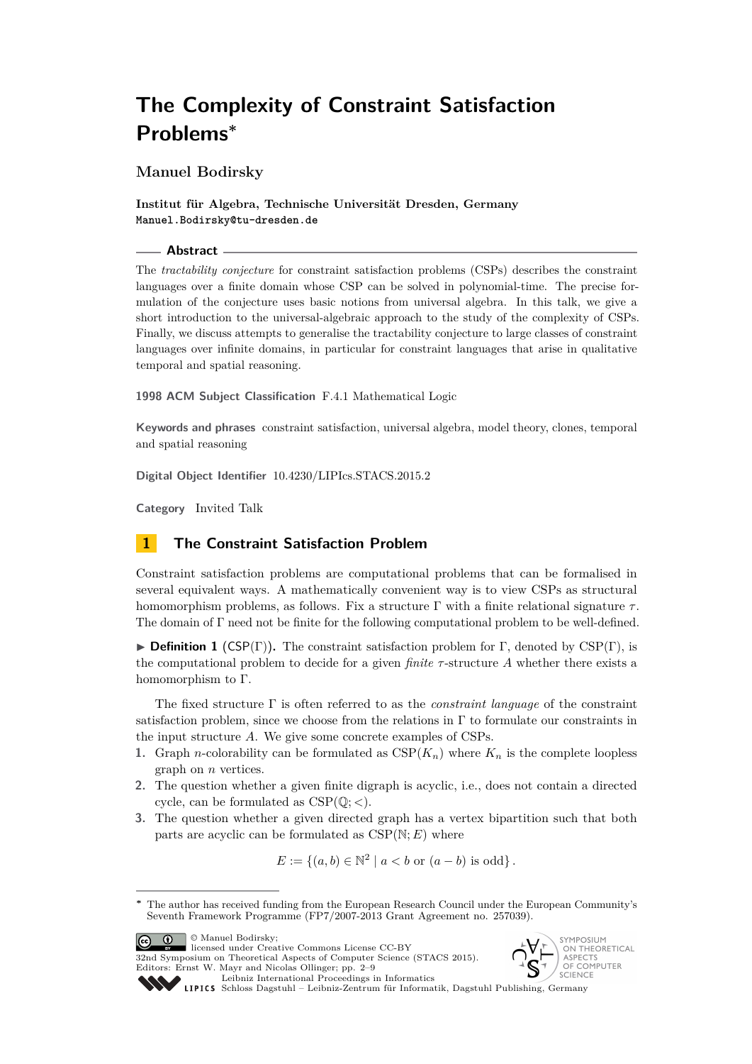# **The Complexity of Constraint Satisfaction Problems<sup>∗</sup>**

**Manuel Bodirsky**

**Institut für Algebra, Technische Universität Dresden, Germany Manuel.Bodirsky@tu-dresden.de**

#### **Abstract**

The *tractability conjecture* for constraint satisfaction problems (CSPs) describes the constraint languages over a finite domain whose CSP can be solved in polynomial-time. The precise formulation of the conjecture uses basic notions from universal algebra. In this talk, we give a short introduction to the universal-algebraic approach to the study of the complexity of CSPs. Finally, we discuss attempts to generalise the tractability conjecture to large classes of constraint languages over infinite domains, in particular for constraint languages that arise in qualitative temporal and spatial reasoning.

**1998 ACM Subject Classification** F.4.1 Mathematical Logic

**Keywords and phrases** constraint satisfaction, universal algebra, model theory, clones, temporal and spatial reasoning

**Digital Object Identifier** [10.4230/LIPIcs.STACS.2015.2](http://dx.doi.org/10.4230/LIPIcs.STACS.2015.2)

**Category** Invited Talk

# **1 The Constraint Satisfaction Problem**

Constraint satisfaction problems are computational problems that can be formalised in several equivalent ways. A mathematically convenient way is to view CSPs as structural homomorphism problems, as follows. Fix a structure Γ with a finite relational signature *τ* . The domain of Γ need not be finite for the following computational problem to be well-defined.

**Definition 1** (CSP(Γ)). The constraint satisfaction problem for Γ, denoted by CSP(Γ), is the computational problem to decide for a given *finite τ* -structure *A* whether there exists a homomorphism to Γ.

The fixed structure Γ is often referred to as the *constraint language* of the constraint satisfaction problem, since we choose from the relations in Γ to formulate our constraints in the input structure *A*. We give some concrete examples of CSPs.

- **1.** Graph *n*-colorability can be formulated as  $CSP(K_n)$  where  $K_n$  is the complete loopless graph on *n* vertices.
- **2.** The question whether a given finite digraph is acyclic, i.e., does not contain a directed cycle, can be formulated as CSP(Q; *<*).
- **3.** The question whether a given directed graph has a vertex bipartition such that both parts are acyclic can be formulated as  $CSP(N; E)$  where

$$
E := \{(a, b) \in \mathbb{N}^2 \mid a < b \text{ or } (a - b) \text{ is odd}\}.
$$

**C**  $\boxed{0}$  **Manuel Bodirsky**;

licensed under Creative Commons License CC-BY

32nd Symposium on Theoretical Aspects of Computer Science (STACS 2015). Editors: Ernst W. Mayr and Nicolas Ollinger; pp. 2[–9](#page-7-0) [Leibniz International Proceedings in Informatics](http://www.dagstuhl.de/lipics/)





[Schloss Dagstuhl – Leibniz-Zentrum für Informatik, Dagstuhl Publishing, Germany](http://www.dagstuhl.de)

The author has received funding from the European Research Council under the European Community's Seventh Framework Programme (FP7/2007-2013 Grant Agreement no. 257039).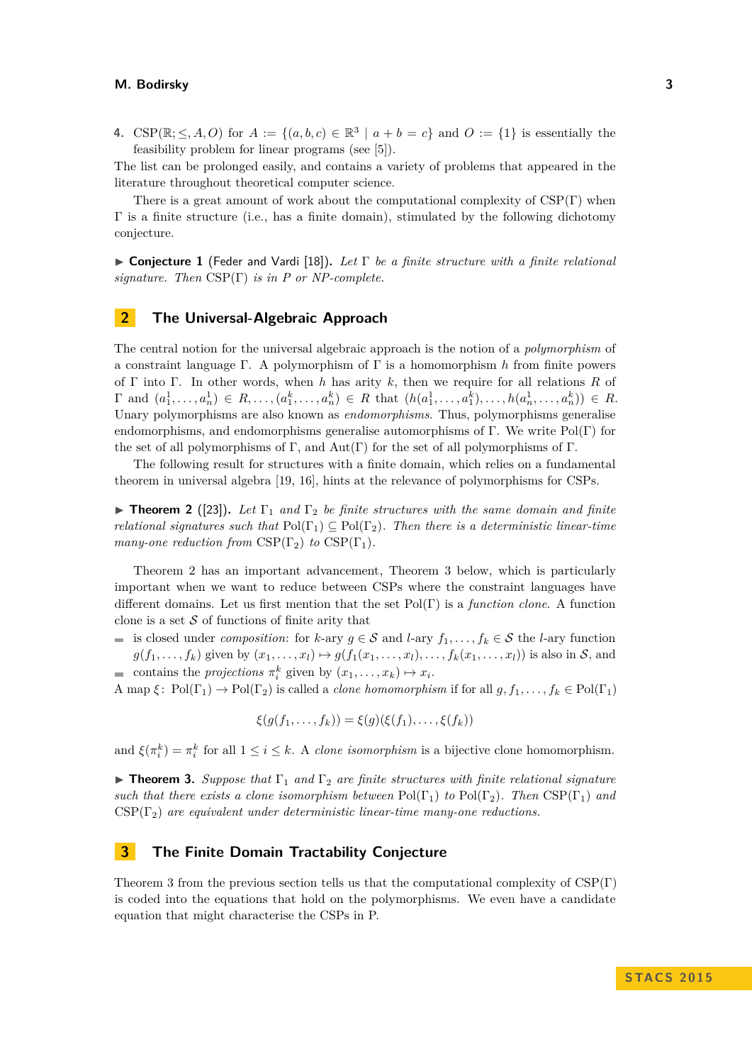**4.** CSP( $\mathbb{R}; \leq, A, O$ ) for  $A := \{(a, b, c) \in \mathbb{R}^3 \mid a + b = c\}$  and  $O := \{1\}$  is essentially the feasibility problem for linear programs (see [\[5\]](#page-6-0)).

The list can be prolonged easily, and contains a variety of problems that appeared in the literature throughout theoretical computer science.

There is a great amount of work about the computational complexity of  $CSP(\Gamma)$  when  $\Gamma$  is a finite structure (i.e., has a finite domain), stimulated by the following dichotomy conjecture.

I **Conjecture 1** (Feder and Vardi [\[18\]](#page-6-1))**.** *Let* Γ *be a finite structure with a finite relational signature. Then* CSP(Γ) *is in P or NP-complete.*

# **2 The Universal-Algebraic Approach**

The central notion for the universal algebraic approach is the notion of a *polymorphism* of a constraint language Γ. A polymorphism of Γ is a homomorphism *h* from finite powers of Γ into Γ. In other words, when *h* has arity *k*, then we require for all relations *R* of  $\Gamma$  and  $(a_1^1, \ldots, a_n^1) \in R, \ldots, (a_1^k, \ldots, a_n^k) \in R$  that  $(h(a_1^1, \ldots, a_1^k), \ldots, h(a_n^1, \ldots, a_n^k)) \in R$ . Unary polymorphisms are also known as *endomorphisms*. Thus, polymorphisms generalise endomorphisms, and endomorphisms generalise automorphisms of Γ. We write  $Pol(\Gamma)$  for the set of all polymorphisms of Γ, and  $Aut(\Gamma)$  for the set of all polymorphisms of Γ.

The following result for structures with a finite domain, which relies on a fundamental theorem in universal algebra [\[19,](#page-6-2) [16\]](#page-6-3), hints at the relevance of polymorphisms for CSPs.

<span id="page-1-0"></span>**Find Theorem 2** ([\[23\]](#page-7-1)). Let  $\Gamma_1$  and  $\Gamma_2$  be finite structures with the same domain and finite *relational signatures such that*  $Pol(\Gamma_1) \subseteq Pol(\Gamma_2)$ *. Then there is a deterministic linear-time many-one reduction from*  $CSP(\Gamma_2)$  *to*  $CSP(\Gamma_1)$ *.* 

Theorem [2](#page-1-0) has an important advancement, Theorem [3](#page-1-1) below, which is particularly important when we want to reduce between CSPs where the constraint languages have different domains. Let us first mention that the set Pol(Γ) is a *function clone*. A function clone is a set  $S$  of functions of finite arity that

**■** is closed under *composition*: for *k*-ary  $g \in S$  and *l*-ary  $f_1, \ldots, f_k \in S$  the *l*-ary function  $g(f_1,\ldots,f_k)$  given by  $(x_1,\ldots,x_l)\mapsto g(f_1(x_1,\ldots,x_l),\ldots,f_k(x_1,\ldots,x_l))$  is also in S, and

contains the *projections*  $\pi_i^k$  given by  $(x_1, \ldots, x_k) \mapsto x_i$ . A map  $\xi$ : Pol( $\Gamma_1$ )  $\to$  Pol( $\Gamma_2$ ) is called a *clone homomorphism* if for all  $g, f_1, \ldots, f_k \in \text{Pol}(\Gamma_1)$ 

$$
\xi(g(f_1,\ldots,f_k)) = \xi(g)(\xi(f_1),\ldots,\xi(f_k))
$$

and  $\xi(\pi_i^k) = \pi_i^k$  for all  $1 \leq i \leq k$ . A *clone isomorphism* is a bijective clone homomorphism.

<span id="page-1-1"></span>**Theorem 3.** *Suppose that*  $\Gamma_1$  *and*  $\Gamma_2$  *are finite structures with finite relational signature such that there exists a clone isomorphism between*  $Pol(\Gamma_1)$  *to*  $Pol(\Gamma_2)$ *. Then*  $CSP(\Gamma_1)$  *and* CSP(Γ2) *are equivalent under deterministic linear-time many-one reductions.*

# **3 The Finite Domain Tractability Conjecture**

Theorem [3](#page-1-1) from the previous section tells us that the computational complexity of CSP(Γ) is coded into the equations that hold on the polymorphisms. We even have a candidate equation that might characterise the CSPs in P.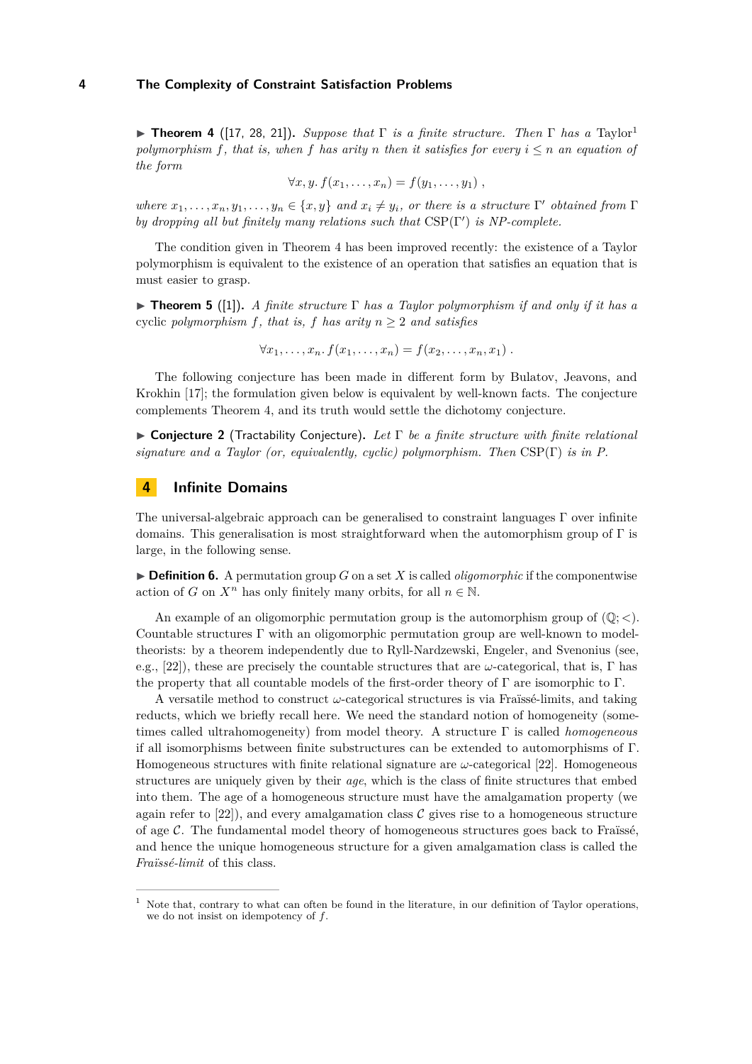<span id="page-2-1"></span>**Figure [1](#page-2-0)** ([\[17,](#page-6-4) [28,](#page-7-2) [21\]](#page-7-3)). *Suppose that*  $\Gamma$  *is a finite structure. Then*  $\Gamma$  *has a* Taylor<sup>1</sup> *polymorphism*  $f$ *, that is, when*  $f$  *has arity*  $n$  *then it satisfies for every*  $i \leq n$  *an equation of the form*

$$
\forall x, y. f(x_1, \ldots, x_n) = f(y_1, \ldots, y_1) ,
$$

*where*  $x_1, \ldots, x_n, y_1, \ldots, y_n \in \{x, y\}$  *and*  $x_i \neq y_i$ *, or there is a structure* Γ' *obtained from* Γ *by dropping all but finitely many relations such that*  $CSP(\Gamma')$  *is NP-complete.* 

The condition given in Theorem [4](#page-2-1) has been improved recently: the existence of a Taylor polymorphism is equivalent to the existence of an operation that satisfies an equation that is must easier to grasp.

**Find 5** ([\[1\]](#page-5-0)). *A finite structure*  $\Gamma$  *has a Taylor polymorphism if and only if it has a* cyclic *polymorphism*  $f$ *, that is,*  $f$  *has arity*  $n \geq 2$  *and satisfies* 

$$
\forall x_1, \ldots, x_n \ldotp f(x_1, \ldots, x_n) = f(x_2, \ldots, x_n, x_1) \ldotp
$$

The following conjecture has been made in different form by Bulatov, Jeavons, and Krokhin [\[17\]](#page-6-4); the formulation given below is equivalent by well-known facts. The conjecture complements Theorem [4,](#page-2-1) and its truth would settle the dichotomy conjecture.

<span id="page-2-2"></span>I **Conjecture 2** (Tractability Conjecture)**.** *Let* Γ *be a finite structure with finite relational signature and a Taylor (or, equivalently, cyclic) polymorphism. Then* CSP(Γ) *is in P.*

# **4 Infinite Domains**

The universal-algebraic approach can be generalised to constraint languages Γ over infinite domains. This generalisation is most straightforward when the automorphism group of  $\Gamma$  is large, in the following sense.

 $\triangleright$  **Definition 6.** A permutation group *G* on a set *X* is called *oligomorphic* if the componentwise action of *G* on  $X^n$  has only finitely many orbits, for all  $n \in \mathbb{N}$ .

An example of an oligomorphic permutation group is the automorphism group of  $(\mathbb{Q}; <)$ . Countable structures Γ with an oligomorphic permutation group are well-known to modeltheorists: by a theorem independently due to Ryll-Nardzewski, Engeler, and Svenonius (see, e.g., [\[22\]](#page-7-4)), these are precisely the countable structures that are *ω*-categorical, that is, Γ has the property that all countable models of the first-order theory of  $\Gamma$  are isomorphic to  $\Gamma$ .

A versatile method to construct *ω*-categorical structures is via Fraïssé-limits, and taking reducts, which we briefly recall here. We need the standard notion of homogeneity (sometimes called ultrahomogeneity) from model theory. A structure Γ is called *homogeneous* if all isomorphisms between finite substructures can be extended to automorphisms of Γ. Homogeneous structures with finite relational signature are *ω*-categorical [\[22\]](#page-7-4). Homogeneous structures are uniquely given by their *age*, which is the class of finite structures that embed into them. The age of a homogeneous structure must have the amalgamation property (we again refer to  $[22]$ , and every amalgamation class C gives rise to a homogeneous structure of age  $\mathcal{C}$ . The fundamental model theory of homogeneous structures goes back to Fraïssé, and hence the unique homogeneous structure for a given amalgamation class is called the *Fraïssé-limit* of this class.

<span id="page-2-0"></span> $1$  Note that, contrary to what can often be found in the literature, in our definition of Taylor operations, we do not insist on idempotency of *f*.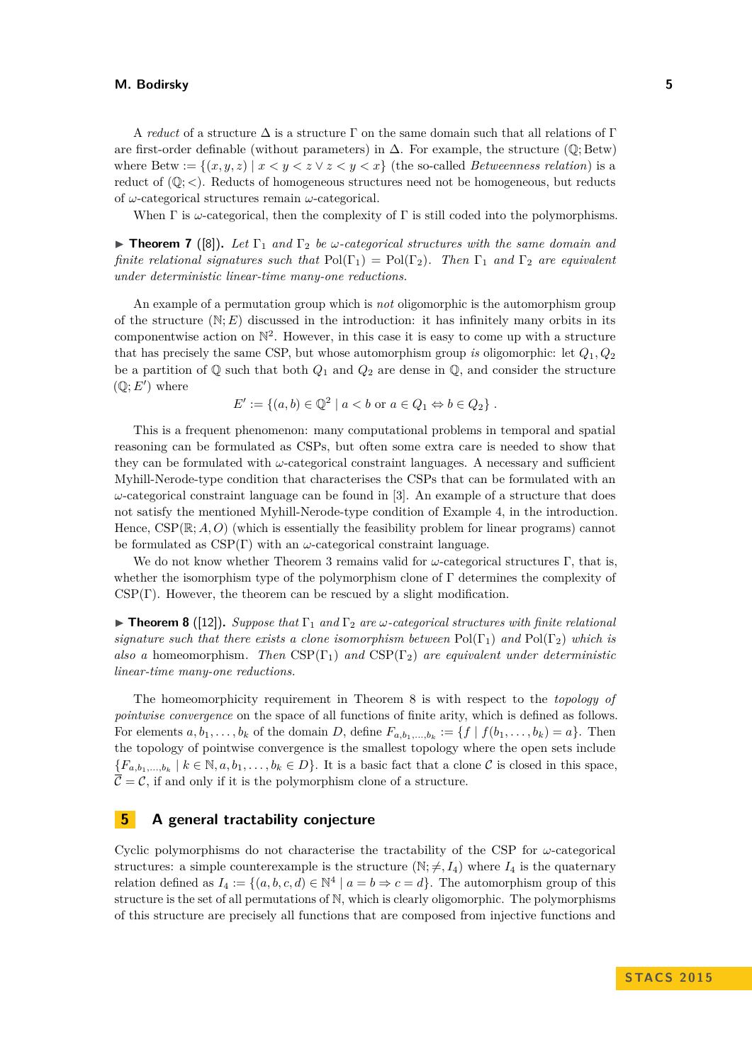A *reduct* of a structure  $\Delta$  is a structure  $\Gamma$  on the same domain such that all relations of  $\Gamma$ are first-order definable (without parameters) in  $\Delta$ . For example, the structure ( $\mathbb{Q}$ ; Betw) where Betw :=  $\{(x, y, z) | x < y < z \lor z < y < x\}$  (the so-called *Betweenness relation*) is a reduct of  $(\mathbb{Q}; <)$ . Reducts of homogeneous structures need not be homogeneous, but reducts of *ω*-categorical structures remain *ω*-categorical.

When  $\Gamma$  is  $\omega$ -categorical, then the complexity of  $\Gamma$  is still coded into the polymorphisms.

**Figure 7** ([\[8\]](#page-6-5)). Let  $\Gamma_1$  and  $\Gamma_2$  be *ω*-categorical structures with the same domain and *finite relational signatures such that*  $Pol(\Gamma_1) = Pol(\Gamma_2)$ *. Then*  $\Gamma_1$  *and*  $\Gamma_2$  *are equivalent under deterministic linear-time many-one reductions.*

An example of a permutation group which is *not* oligomorphic is the automorphism group of the structure  $(N; E)$  discussed in the introduction: it has infinitely many orbits in its componentwise action on  $\mathbb{N}^2$ . However, in this case it is easy to come up with a structure that has precisely the same CSP, but whose automorphism group *is* oligomorphic: let *Q*1*, Q*<sup>2</sup> be a partition of  $\mathbb Q$  such that both  $Q_1$  and  $Q_2$  are dense in  $\mathbb Q$ , and consider the structure  $(\mathbb{Q}; E')$  where

$$
E' := \{(a, b) \in \mathbb{Q}^2 \mid a < b \text{ or } a \in Q_1 \Leftrightarrow b \in Q_2\}.
$$

This is a frequent phenomenon: many computational problems in temporal and spatial reasoning can be formulated as CSPs, but often some extra care is needed to show that they can be formulated with *ω*-categorical constraint languages. A necessary and sufficient Myhill-Nerode-type condition that characterises the CSPs that can be formulated with an  $\omega$ -categorical constraint language can be found in [\[3\]](#page-6-6). An example of a structure that does not satisfy the mentioned Myhill-Nerode-type condition of Example 4, in the introduction. Hence,  $CSP(\mathbb{R}; A, O)$  (which is essentially the feasibility problem for linear programs) cannot be formulated as  $CSP(\Gamma)$  with an  $\omega$ -categorical constraint language.

We do not know whether Theorem [3](#page-1-1) remains valid for *ω*-categorical structures Γ, that is, whether the isomorphism type of the polymorphism clone of  $\Gamma$  determines the complexity of  $CSP(\Gamma)$ . However, the theorem can be rescued by a slight modification.

<span id="page-3-0"></span>**Find 1 Find 1 a** ([\[12\]](#page-6-7)). *Suppose that*  $\Gamma_1$  *and*  $\Gamma_2$  *are ω-categorical structures with finite relational signature such that there exists a clone isomorphism between*  $Pol(\Gamma_1)$  *and*  $Pol(\Gamma_2)$  *which is also a* homeomorphism*. Then* CSP(Γ1) *and* CSP(Γ2) *are equivalent under deterministic linear-time many-one reductions.*

The homeomorphicity requirement in Theorem [8](#page-3-0) is with respect to the *topology of pointwise convergence* on the space of all functions of finite arity, which is defined as follows. For elements  $a, b_1, \ldots, b_k$  of the domain *D*, define  $F_{a,b_1,\ldots,b_k} := \{f \mid f(b_1,\ldots,b_k) = a\}$ . Then the topology of pointwise convergence is the smallest topology where the open sets include  ${F_{a,b_1,...,b_k} \mid k \in \mathbb{N}, a, b_1,...,b_k \in D}$ . It is a basic fact that a clone C is closed in this space,  $\overline{C} = C$ , if and only if it is the polymorphism clone of a structure.

## <span id="page-3-1"></span>**5 A general tractability conjecture**

Cyclic polymorphisms do not characterise the tractability of the CSP for *ω*-categorical structures: a simple counterexample is the structure  $(\mathbb{N}; \neq, I_4)$  where  $I_4$  is the quaternary relation defined as  $I_4 := \{(a, b, c, d) \in \mathbb{N}^4 \mid a = b \Rightarrow c = d\}$ . The automorphism group of this structure is the set of all permutations of N, which is clearly oligomorphic. The polymorphisms of this structure are precisely all functions that are composed from injective functions and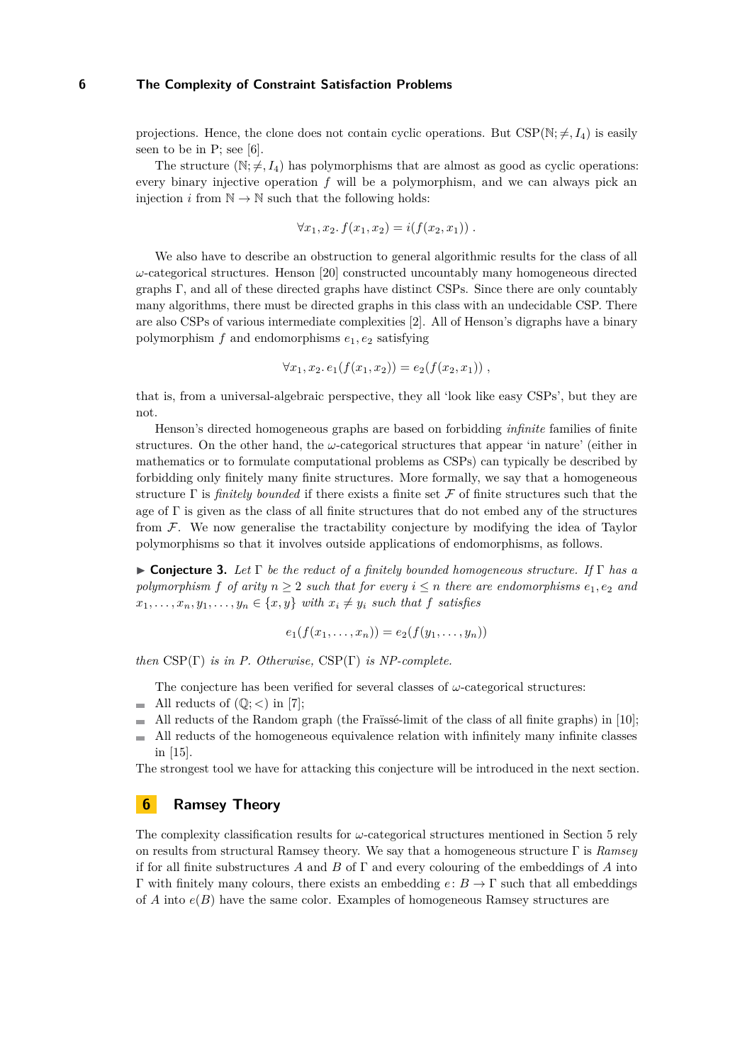#### **6 The Complexity of Constraint Satisfaction Problems**

projections. Hence, the clone does not contain cyclic operations. But  $CSP(N; \neq, I_4)$  is easily seen to be in P; see [\[6\]](#page-6-8).

The structure  $(\mathbb{N}; \neq, I_4)$  has polymorphisms that are almost as good as cyclic operations: every binary injective operation *f* will be a polymorphism, and we can always pick an injection *i* from  $\mathbb{N} \to \mathbb{N}$  such that the following holds:

$$
\forall x_1, x_2. f(x_1, x_2) = i(f(x_2, x_1)) .
$$

We also have to describe an obstruction to general algorithmic results for the class of all *ω*-categorical structures. Henson [\[20\]](#page-6-9) constructed uncountably many homogeneous directed graphs  $\Gamma$ , and all of these directed graphs have distinct CSPs. Since there are only countably many algorithms, there must be directed graphs in this class with an undecidable CSP. There are also CSPs of various intermediate complexities [\[2\]](#page-5-1). All of Henson's digraphs have a binary polymorphism  $f$  and endomorphisms  $e_1, e_2$  satisfying

$$
\forall x_1, x_2. e_1(f(x_1, x_2)) = e_2(f(x_2, x_1)),
$$

that is, from a universal-algebraic perspective, they all 'look like easy CSPs', but they are not.

Henson's directed homogeneous graphs are based on forbidding *infinite* families of finite structures. On the other hand, the *ω*-categorical structures that appear 'in nature' (either in mathematics or to formulate computational problems as CSPs) can typically be described by forbidding only finitely many finite structures. More formally, we say that a homogeneous structure  $\Gamma$  is *finitely bounded* if there exists a finite set  $\mathcal F$  of finite structures such that the age of  $\Gamma$  is given as the class of all finite structures that do not embed any of the structures from F. We now generalise the tractability conjecture by modifying the idea of Taylor polymorphisms so that it involves outside applications of endomorphisms, as follows.

<span id="page-4-0"></span>I **Conjecture 3.** *Let* Γ *be the reduct of a finitely bounded homogeneous structure. If* Γ *has a polymorphism f of arity*  $n \geq 2$  *such that for every*  $i \leq n$  *there are endomorphisms*  $e_1, e_2$  *and*  $x_1, \ldots, x_n, y_1, \ldots, y_n \in \{x, y\}$  *with*  $x_i \neq y_i$  *such that f satisfies* 

$$
e_1(f(x_1,...,x_n)) = e_2(f(y_1,...,y_n))
$$

*then* CSP(Γ) *is in P. Otherwise,* CSP(Γ) *is NP-complete.*

The conjecture has been verified for several classes of  $\omega$ -categorical structures:

- All reducts of  $(\mathbb{Q}; <)$  in [\[7\]](#page-6-10);
- All reducts of the Random graph (the Fraïssé-limit of the class of all finite graphs) in [\[10\]](#page-6-11);  $\blacksquare$
- All reducts of the homogeneous equivalence relation with infinitely many infinite classes in [\[15\]](#page-6-12).

The strongest tool we have for attacking this conjecture will be introduced in the next section.

## **6 Ramsey Theory**

The complexity classification results for *ω*-categorical structures mentioned in Section [5](#page-3-1) rely on results from structural Ramsey theory. We say that a homogeneous structure Γ is *Ramsey* if for all finite substructures *A* and *B* of Γ and every colouring of the embeddings of *A* into Γ with finitely many colours, there exists an embedding *e*: *B* → Γ such that all embeddings of *A* into *e*(*B*) have the same color. Examples of homogeneous Ramsey structures are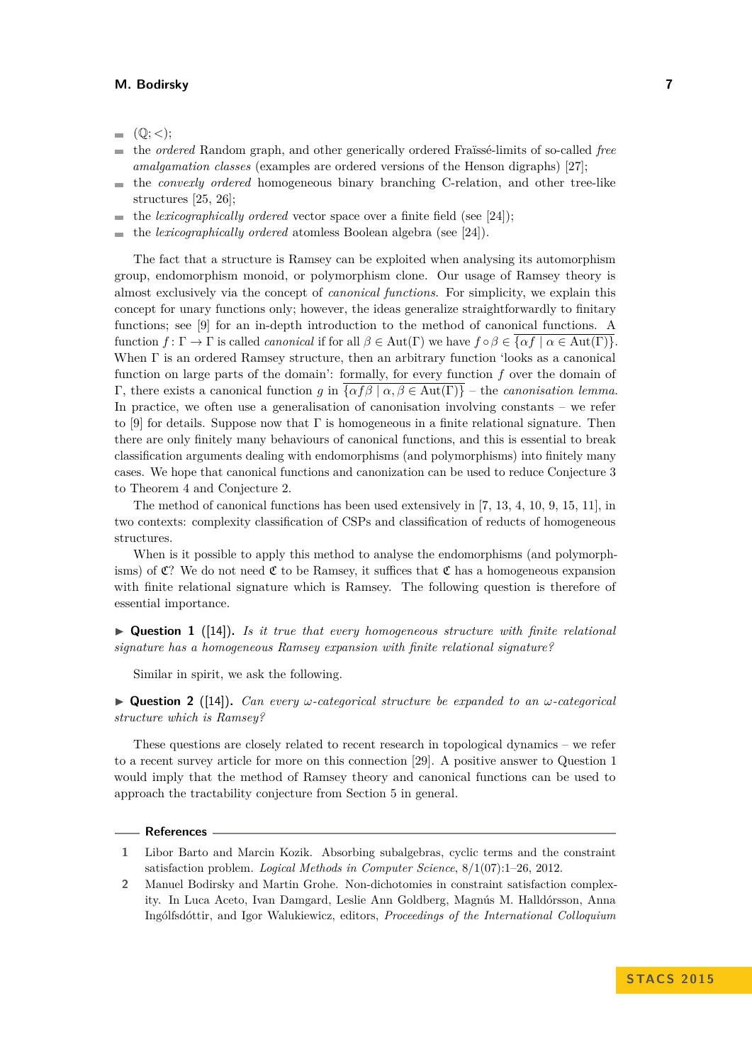- $(Q; <);$ ÷.
- the *ordered* Random graph, and other generically ordered Fraïssé-limits of so-called *free* Ē. *amalgamation classes* (examples are ordered versions of the Henson digraphs) [\[27\]](#page-7-5);
- the *convexly ordered* homogeneous binary branching C-relation, and other tree-like  $\blacksquare$ structures [\[25,](#page-7-6) [26\]](#page-7-7);
- the *lexicographically ordered* vector space over a finite field (see [\[24\]](#page-7-8));  $\overline{\phantom{a}}$
- the *lexicographically ordered* atomless Boolean algebra (see [\[24\]](#page-7-8)).

The fact that a structure is Ramsey can be exploited when analysing its automorphism group, endomorphism monoid, or polymorphism clone. Our usage of Ramsey theory is almost exclusively via the concept of *canonical functions*. For simplicity, we explain this concept for unary functions only; however, the ideas generalize straightforwardly to finitary functions; see [\[9\]](#page-6-13) for an in-depth introduction to the method of canonical functions. A function  $f: \Gamma \to \Gamma$  is called *canonical* if for all  $\beta \in Aut(\Gamma)$  we have  $f \circ \beta \in \overline{\{\alpha f \mid \alpha \in Aut(\Gamma)\}}$ . When Γ is an ordered Ramsey structure, then an arbitrary function 'looks as a canonical function on large parts of the domain': formally, for every function *f* over the domain of Γ, there exists a canonical function *g* in {*αfβ* | *α, β* ∈ Aut(Γ)} – the *canonisation lemma*. In practice, we often use a generalisation of canonisation involving constants – we refer to [\[9\]](#page-6-13) for details. Suppose now that  $\Gamma$  is homogeneous in a finite relational signature. Then there are only finitely many behaviours of canonical functions, and this is essential to break classification arguments dealing with endomorphisms (and polymorphisms) into finitely many cases. We hope that canonical functions and canonization can be used to reduce Conjecture [3](#page-4-0) to Theorem [4](#page-2-1) and Conjecture [2.](#page-2-2)

The method of canonical functions has been used extensively in [\[7,](#page-6-10) [13,](#page-6-14) [4,](#page-6-15) [10,](#page-6-11) [9,](#page-6-13) [15,](#page-6-12) [11\]](#page-6-16), in two contexts: complexity classification of CSPs and classification of reducts of homogeneous structures.

When is it possible to apply this method to analyse the endomorphisms (and polymorphisms) of  $\mathfrak{C}$ ? We do not need  $\mathfrak{C}$  to be Ramsey, it suffices that  $\mathfrak{C}$  has a homogeneous expansion with finite relational signature which is Ramsey. The following question is therefore of essential importance.

<span id="page-5-2"></span> $\triangleright$  **Question 1** ([\[14\]](#page-6-17)). *Is it true that every homogeneous structure with finite relational signature has a homogeneous Ramsey expansion with finite relational signature?*

Similar in spirit, we ask the following.

 $\triangleright$  **Question 2** ([\[14\]](#page-6-17)). *Can every*  $\omega$ -categorical structure be expanded to an  $\omega$ -categorical *structure which is Ramsey?*

These questions are closely related to recent research in topological dynamics – we refer to a recent survey article for more on this connection [\[29\]](#page-7-9). A positive answer to Question [1](#page-5-2) would imply that the method of Ramsey theory and canonical functions can be used to approach the tractability conjecture from Section [5](#page-3-1) in general.

#### **References**

- <span id="page-5-0"></span>**1** Libor Barto and Marcin Kozik. Absorbing subalgebras, cyclic terms and the constraint satisfaction problem. *Logical Methods in Computer Science*, 8/1(07):1–26, 2012.
- <span id="page-5-1"></span>**2** Manuel Bodirsky and Martin Grohe. Non-dichotomies in constraint satisfaction complexity. In Luca Aceto, Ivan Damgard, Leslie Ann Goldberg, Magnús M. Halldórsson, Anna Ingólfsdóttir, and Igor Walukiewicz, editors, *Proceedings of the International Colloquium*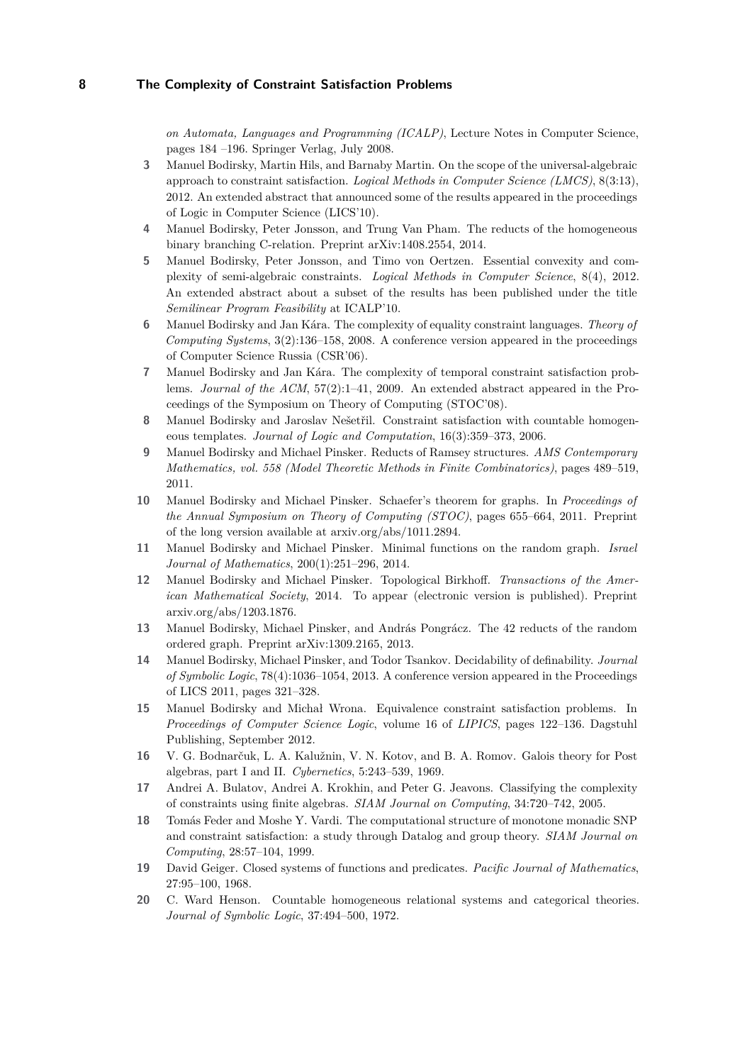## **8 The Complexity of Constraint Satisfaction Problems**

*on Automata, Languages and Programming (ICALP)*, Lecture Notes in Computer Science, pages 184 –196. Springer Verlag, July 2008.

- <span id="page-6-6"></span>**3** Manuel Bodirsky, Martin Hils, and Barnaby Martin. On the scope of the universal-algebraic approach to constraint satisfaction. *Logical Methods in Computer Science (LMCS)*, 8(3:13), 2012. An extended abstract that announced some of the results appeared in the proceedings of Logic in Computer Science (LICS'10).
- <span id="page-6-15"></span>**4** Manuel Bodirsky, Peter Jonsson, and Trung Van Pham. The reducts of the homogeneous binary branching C-relation. Preprint arXiv:1408.2554, 2014.
- <span id="page-6-0"></span>**5** Manuel Bodirsky, Peter Jonsson, and Timo von Oertzen. Essential convexity and complexity of semi-algebraic constraints. *Logical Methods in Computer Science*, 8(4), 2012. An extended abstract about a subset of the results has been published under the title *Semilinear Program Feasibility* at ICALP'10.
- <span id="page-6-8"></span>**6** Manuel Bodirsky and Jan Kára. The complexity of equality constraint languages. *Theory of Computing Systems*, 3(2):136–158, 2008. A conference version appeared in the proceedings of Computer Science Russia (CSR'06).
- <span id="page-6-10"></span>**7** Manuel Bodirsky and Jan Kára. The complexity of temporal constraint satisfaction problems. *Journal of the ACM*, 57(2):1–41, 2009. An extended abstract appeared in the Proceedings of the Symposium on Theory of Computing (STOC'08).
- <span id="page-6-5"></span>**8** Manuel Bodirsky and Jaroslav Nešetřil. Constraint satisfaction with countable homogeneous templates. *Journal of Logic and Computation*, 16(3):359–373, 2006.
- <span id="page-6-13"></span>**9** Manuel Bodirsky and Michael Pinsker. Reducts of Ramsey structures. *AMS Contemporary Mathematics, vol. 558 (Model Theoretic Methods in Finite Combinatorics)*, pages 489–519, 2011.
- <span id="page-6-11"></span>**10** Manuel Bodirsky and Michael Pinsker. Schaefer's theorem for graphs. In *Proceedings of the Annual Symposium on Theory of Computing (STOC)*, pages 655–664, 2011. Preprint of the long version available at arxiv.org/abs/1011.2894.
- <span id="page-6-16"></span>**11** Manuel Bodirsky and Michael Pinsker. Minimal functions on the random graph. *Israel Journal of Mathematics*, 200(1):251–296, 2014.
- <span id="page-6-7"></span>**12** Manuel Bodirsky and Michael Pinsker. Topological Birkhoff. *Transactions of the American Mathematical Society*, 2014. To appear (electronic version is published). Preprint arxiv.org/abs/1203.1876.
- <span id="page-6-14"></span>**13** Manuel Bodirsky, Michael Pinsker, and András Pongrácz. The 42 reducts of the random ordered graph. Preprint arXiv:1309.2165, 2013.
- <span id="page-6-17"></span>**14** Manuel Bodirsky, Michael Pinsker, and Todor Tsankov. Decidability of definability. *Journal of Symbolic Logic*, 78(4):1036–1054, 2013. A conference version appeared in the Proceedings of LICS 2011, pages 321–328.
- <span id="page-6-12"></span>**15** Manuel Bodirsky and Michał Wrona. Equivalence constraint satisfaction problems. In *Proceedings of Computer Science Logic*, volume 16 of *LIPICS*, pages 122–136. Dagstuhl Publishing, September 2012.
- <span id="page-6-3"></span>**16** V. G. Bodnarčuk, L. A. Kalužnin, V. N. Kotov, and B. A. Romov. Galois theory for Post algebras, part I and II. *Cybernetics*, 5:243–539, 1969.
- <span id="page-6-4"></span>**17** Andrei A. Bulatov, Andrei A. Krokhin, and Peter G. Jeavons. Classifying the complexity of constraints using finite algebras. *SIAM Journal on Computing*, 34:720–742, 2005.
- <span id="page-6-1"></span>**18** Tomás Feder and Moshe Y. Vardi. The computational structure of monotone monadic SNP and constraint satisfaction: a study through Datalog and group theory. *SIAM Journal on Computing*, 28:57–104, 1999.
- <span id="page-6-2"></span>**19** David Geiger. Closed systems of functions and predicates. *Pacific Journal of Mathematics*, 27:95–100, 1968.
- <span id="page-6-9"></span>**20** C. Ward Henson. Countable homogeneous relational systems and categorical theories. *Journal of Symbolic Logic*, 37:494–500, 1972.